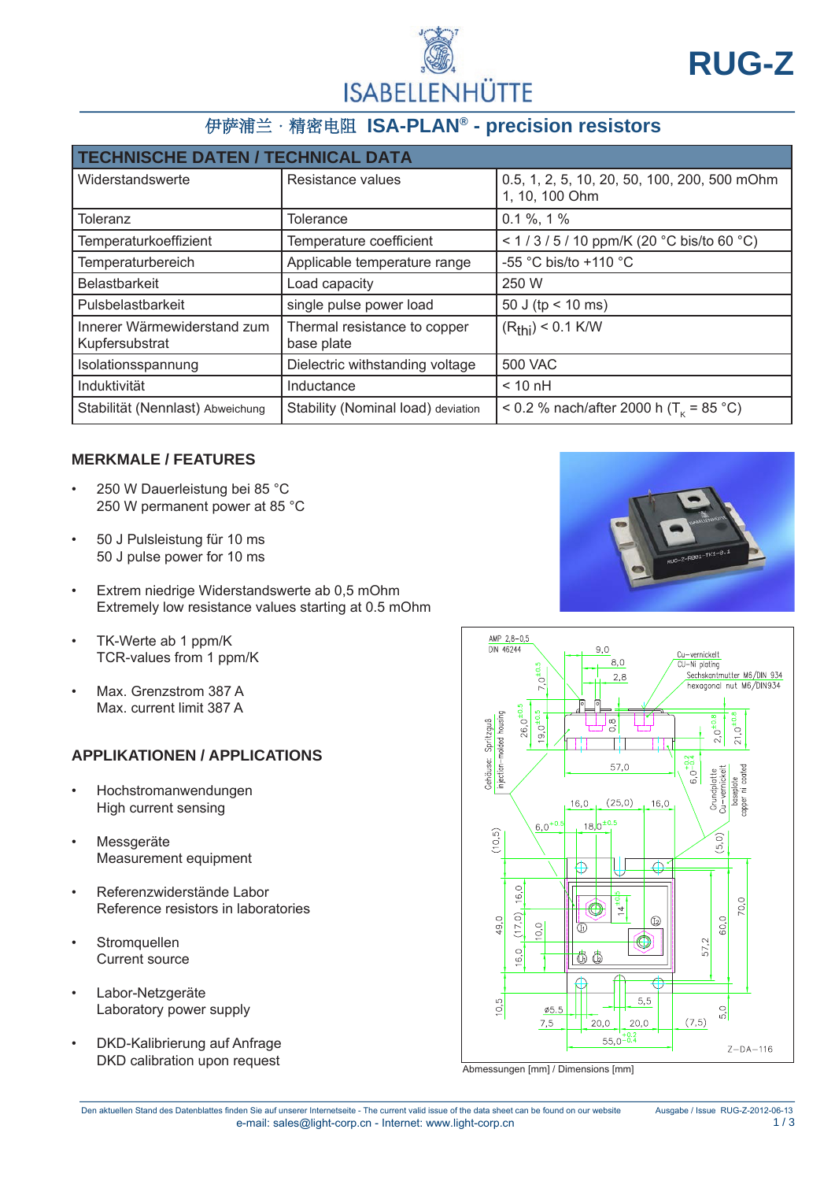

# 伊萨浦兰·精密电阻 **ISA-PLAN® - precision resistors**

| <b>TECHNISCHE DATEN / TECHNICAL DATA</b>      |                                            |                                                                |  |  |
|-----------------------------------------------|--------------------------------------------|----------------------------------------------------------------|--|--|
| Widerstandswerte                              | Resistance values                          | 0.5, 1, 2, 5, 10, 20, 50, 100, 200, 500 mOhm<br>1, 10, 100 Ohm |  |  |
| Toleranz                                      | <b>Tolerance</b>                           | $0.1\%$ , 1%                                                   |  |  |
| Temperaturkoeffizient                         | Temperature coefficient                    | < $1/3/5/10$ ppm/K (20 °C bis/to 60 °C)                        |  |  |
| Temperaturbereich                             | Applicable temperature range               | -55 °C bis/to +110 °C                                          |  |  |
| <b>Belastbarkeit</b>                          | Load capacity                              | 250 W                                                          |  |  |
| Pulsbelastbarkeit                             | single pulse power load                    | 50 J (tp < 10 ms)                                              |  |  |
| Innerer Wärmewiderstand zum<br>Kupfersubstrat | Thermal resistance to copper<br>base plate | $(Rthi)$ < 0.1 K/W                                             |  |  |
| Isolationsspannung                            | Dielectric withstanding voltage            | <b>500 VAC</b>                                                 |  |  |
| Induktivität                                  | Inductance                                 | $< 10 \text{ nH}$                                              |  |  |
| Stabilität (Nennlast) Abweichung              | Stability (Nominal load) deviation         | < 0.2 % nach/after 2000 h (T <sub>k</sub> = 85 °C)             |  |  |

#### **MERKMALE / FEATURES**

- 250 W Dauerleistung bei 85 °C 250 W permanent power at 85 °C
- 50 J Pulsleistung für 10 ms 50 J pulse power for 10 ms
- Extrem niedrige Widerstandswerte ab 0,5 mOhm Extremely low resistance values starting at 0.5 mOhm
- TK-Werte ab 1 ppm/K TCR-values from 1 ppm/K
- Max. Grenzstrom 387 A Max. current limit 387 A

## **APPLIKATIONEN / APPLICATIONS**

- Hochstromanwendungen High current sensing
- **Messgeräte** Measurement equipment
- Referenzwiderstände Labor Reference resistors in laboratories
- **Stromquellen** Current source
- Labor-Netzgeräte Laboratory power supply
- DKD-Kalibrierung auf Anfrage<br>DKD calibration upon request





Abmessungen [mm] / Dimensions [mm]

Den aktuellen Stand des Datenblattes finden Sie auf unserer Internetseite - The current valid issue of the data sheet can be found on our website Ausgabe / Issue RUG-Z-2012-06-13 e-mail: sales@light-corp.cn - Internet: www.light-corp.cn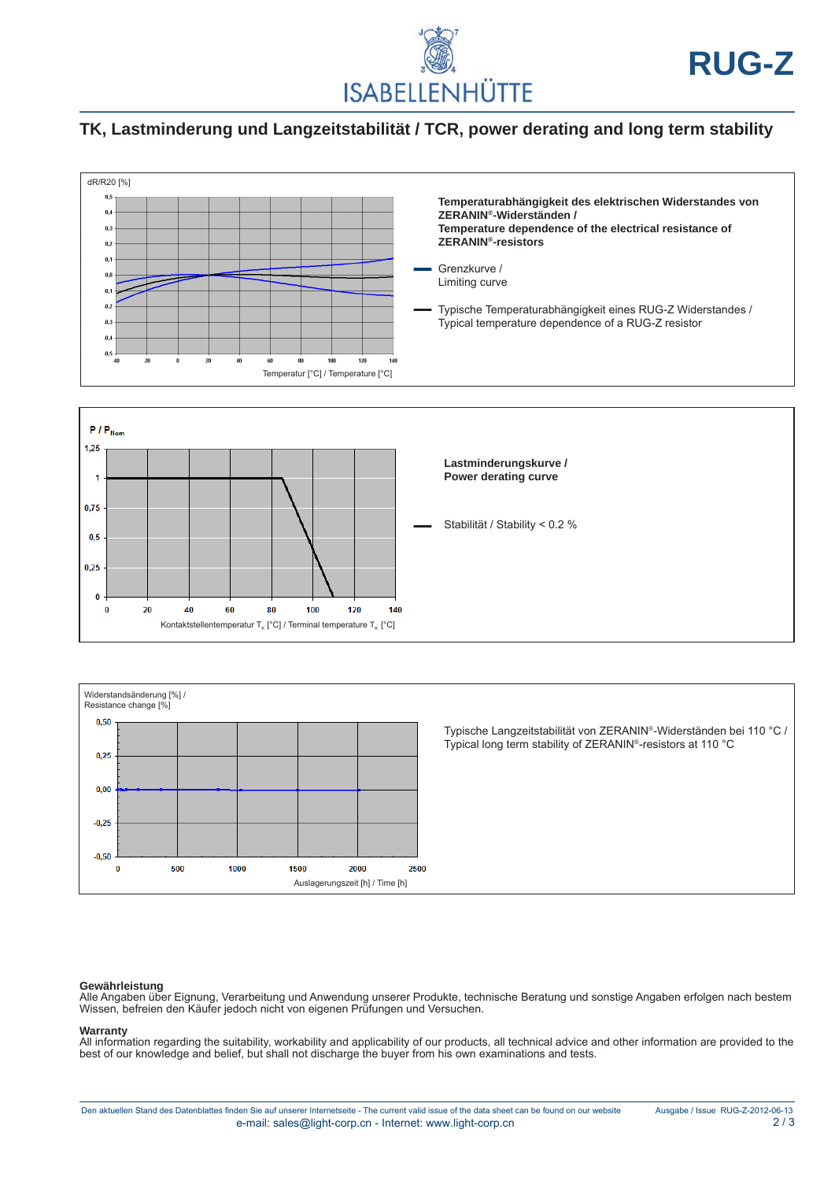

## **TK, Lastminderung und Langzeitstabilität / TCR, power derating and long term stability**







**Gewährleistung**<br>Alle Angaben über Eignung, Verarbeitung und Anwendung unserer Produkte, technische Beratung und sonstige Angaben erfolgen nach bestem Wissen, befreien den Käufer jedoch nicht von eigenen Prüfungen und Versuchen.

#### **Warranty**

All information regarding the suitability, workability and applicability of our products, all technical advice and other information are provided to the best of our knowledge and belief, but shall not discharge the buyer from his own examinations and tests.